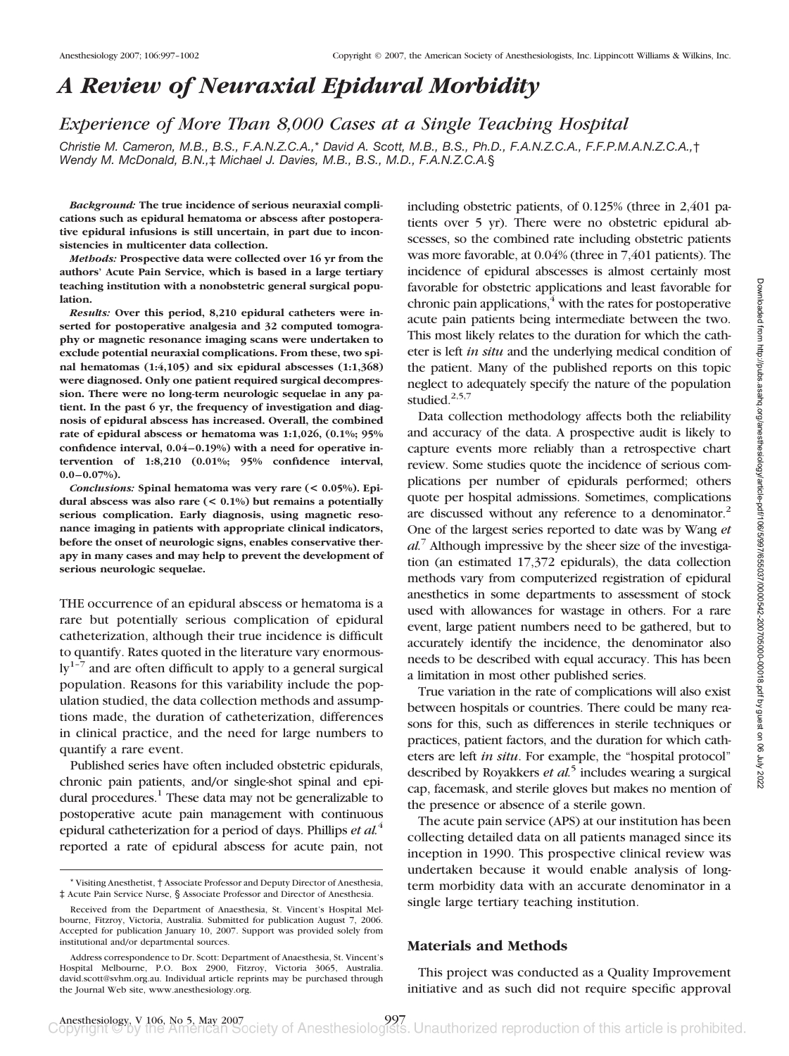# *A Review of Neuraxial Epidural Morbidity*

*Experience of More Than 8,000 Cases at a Single Teaching Hospital*

*Christie M. Cameron, M.B., B.S., F.A.N.Z.C.A.,*\* *David A. Scott, M.B., B.S., Ph.D., F.A.N.Z.C.A., F.F.P.M.A.N.Z.C.A.,*† *Wendy M. McDonald, B.N.,*‡ *Michael J. Davies, M.B., B.S., M.D., F.A.N.Z.C.A.*§

*Background:* **The true incidence of serious neuraxial complications such as epidural hematoma or abscess after postoperative epidural infusions is still uncertain, in part due to inconsistencies in multicenter data collection.**

*Methods:* **Prospective data were collected over 16 yr from the authors' Acute Pain Service, which is based in a large tertiary teaching institution with a nonobstetric general surgical population.**

*Results:* **Over this period, 8,210 epidural catheters were inserted for postoperative analgesia and 32 computed tomography or magnetic resonance imaging scans were undertaken to exclude potential neuraxial complications. From these, two spinal hematomas (1:4,105) and six epidural abscesses (1:1,368) were diagnosed. Only one patient required surgical decompression. There were no long-term neurologic sequelae in any patient. In the past 6 yr, the frequency of investigation and diagnosis of epidural abscess has increased. Overall, the combined rate of epidural abscess or hematoma was 1:1,026, (0.1%; 95% confidence interval, 0.04–0.19%) with a need for operative intervention of 1:8,210 (0.01%; 95% confidence interval, 0.0–0.07%).**

*Conclusions:* **Spinal hematoma was very rare (< 0.05%). Epidural abscess was also rare (< 0.1%) but remains a potentially serious complication. Early diagnosis, using magnetic resonance imaging in patients with appropriate clinical indicators, before the onset of neurologic signs, enables conservative therapy in many cases and may help to prevent the development of serious neurologic sequelae.**

THE occurrence of an epidural abscess or hematoma is a rare but potentially serious complication of epidural catheterization, although their true incidence is difficult to quantify. Rates quoted in the literature vary enormous- $\mathrm{ly}^{1-7}$  and are often difficult to apply to a general surgical population. Reasons for this variability include the population studied, the data collection methods and assumptions made, the duration of catheterization, differences in clinical practice, and the need for large numbers to quantify a rare event.

Published series have often included obstetric epidurals, chronic pain patients, and/or single-shot spinal and epidural procedures. $<sup>1</sup>$  These data may not be generalizable to</sup> postoperative acute pain management with continuous epidural catheterization for a period of days. Phillips *et al.*<sup>4</sup> reported a rate of epidural abscess for acute pain, not

including obstetric patients, of 0.125% (three in 2,401 patients over 5 yr). There were no obstetric epidural abscesses, so the combined rate including obstetric patients was more favorable, at 0.04% (three in 7,401 patients). The incidence of epidural abscesses is almost certainly most favorable for obstetric applications and least favorable for chronic pain applications, $4$  with the rates for postoperative acute pain patients being intermediate between the two. This most likely relates to the duration for which the catheter is left *in situ* and the underlying medical condition of the patient. Many of the published reports on this topic neglect to adequately specify the nature of the population studied.<sup>2,5,7</sup>

Data collection methodology affects both the reliability and accuracy of the data. A prospective audit is likely to capture events more reliably than a retrospective chart review. Some studies quote the incidence of serious complications per number of epidurals performed; others quote per hospital admissions. Sometimes, complications are discussed without any reference to a denominator.<sup>2</sup> One of the largest series reported to date was by Wang *et al.*<sup>7</sup> Although impressive by the sheer size of the investigation (an estimated 17,372 epidurals), the data collection methods vary from computerized registration of epidural anesthetics in some departments to assessment of stock used with allowances for wastage in others. For a rare event, large patient numbers need to be gathered, but to accurately identify the incidence, the denominator also needs to be described with equal accuracy. This has been a limitation in most other published series.

True variation in the rate of complications will also exist between hospitals or countries. There could be many reasons for this, such as differences in sterile techniques or practices, patient factors, and the duration for which catheters are left *in situ*. For example, the "hospital protocol" described by Royakkers *et al.*<sup>5</sup> includes wearing a surgical cap, facemask, and sterile gloves but makes no mention of the presence or absence of a sterile gown.

The acute pain service (APS) at our institution has been collecting detailed data on all patients managed since its inception in 1990. This prospective clinical review was undertaken because it would enable analysis of longterm morbidity data with an accurate denominator in a single large tertiary teaching institution.

#### **Materials and Methods**

This project was conducted as a Quality Improvement initiative and as such did not require specific approval

<sup>\*</sup> Visiting Anesthetist, † Associate Professor and Deputy Director of Anesthesia, ‡ Acute Pain Service Nurse, § Associate Professor and Director of Anesthesia.

Received from the Department of Anaesthesia, St. Vincent's Hospital Melbourne, Fitzroy, Victoria, Australia. Submitted for publication August 7, 2006. Accepted for publication January 10, 2007. Support was provided solely from institutional and/or departmental sources.

Address correspondence to Dr. Scott: Department of Anaesthesia, St. Vincent's Hospital Melbourne, P.O. Box 2900, Fitzroy, Victoria 3065, Australia. david.scott@svhm.org.au. Individual article reprints may be purchased through the Journal Web site, www.anesthesiology.org.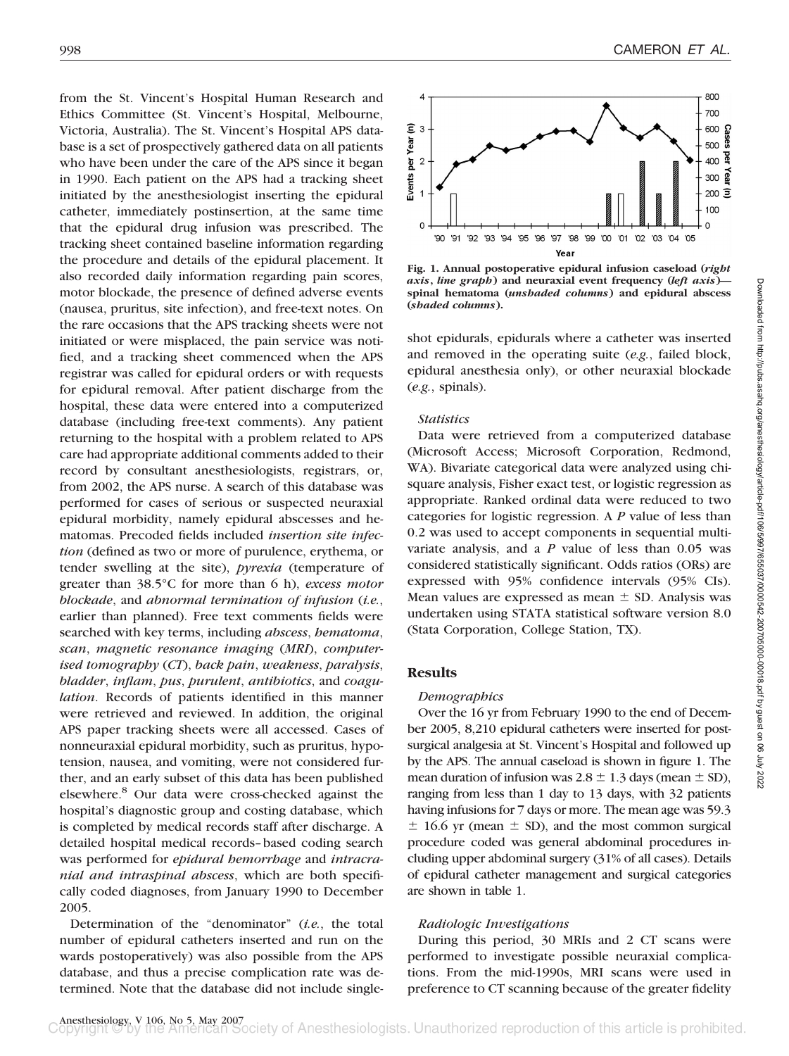from the St. Vincent's Hospital Human Research and Ethics Committee (St. Vincent's Hospital, Melbourne, Victoria, Australia). The St. Vincent's Hospital APS database is a set of prospectively gathered data on all patients who have been under the care of the APS since it began in 1990. Each patient on the APS had a tracking sheet initiated by the anesthesiologist inserting the epidural catheter, immediately postinsertion, at the same time that the epidural drug infusion was prescribed. The tracking sheet contained baseline information regarding the procedure and details of the epidural placement. It also recorded daily information regarding pain scores, motor blockade, the presence of defined adverse events (nausea, pruritus, site infection), and free-text notes. On the rare occasions that the APS tracking sheets were not initiated or were misplaced, the pain service was notified, and a tracking sheet commenced when the APS registrar was called for epidural orders or with requests for epidural removal. After patient discharge from the hospital, these data were entered into a computerized database (including free-text comments). Any patient returning to the hospital with a problem related to APS care had appropriate additional comments added to their record by consultant anesthesiologists, registrars, or, from 2002, the APS nurse. A search of this database was performed for cases of serious or suspected neuraxial epidural morbidity, namely epidural abscesses and hematomas. Precoded fields included *insertion site infection* (defined as two or more of purulence, erythema, or tender swelling at the site), *pyrexia* (temperature of greater than 38.5°C for more than 6 h), *excess motor blockade*, and *abnormal termination of infusion* (*i.e.*, earlier than planned). Free text comments fields were searched with key terms, including *abscess*, *hematoma*, *scan*, *magnetic resonance imaging* (*MRI*), *computerised tomography* (*CT*), *back pain*, *weakness*, *paralysis*, *bladder*, *inflam*, *pus*, *purulent*, *antibiotics*, and *coagulation*. Records of patients identified in this manner were retrieved and reviewed. In addition, the original APS paper tracking sheets were all accessed. Cases of nonneuraxial epidural morbidity, such as pruritus, hypotension, nausea, and vomiting, were not considered further, and an early subset of this data has been published elsewhere.8 Our data were cross-checked against the hospital's diagnostic group and costing database, which is completed by medical records staff after discharge. A detailed hospital medical records–based coding search was performed for *epidural hemorrhage* and *intracranial and intraspinal abscess*, which are both specifically coded diagnoses, from January 1990 to December 2005.

Determination of the "denominator" (*i.e.*, the total number of epidural catheters inserted and run on the wards postoperatively) was also possible from the APS database, and thus a precise complication rate was determined. Note that the database did not include single-



**Fig. 1. Annual postoperative epidural infusion caseload (***right axis***,** *line graph***) and neuraxial event frequency (***left axis***) spinal hematoma (***unshaded columns***) and epidural abscess (***shaded columns***).**

shot epidurals, epidurals where a catheter was inserted and removed in the operating suite (*e.g.*, failed block, epidural anesthesia only), or other neuraxial blockade (*e.g.*, spinals).

## *Statistics*

Data were retrieved from a computerized database (Microsoft Access; Microsoft Corporation, Redmond, WA). Bivariate categorical data were analyzed using chisquare analysis, Fisher exact test, or logistic regression as appropriate. Ranked ordinal data were reduced to two categories for logistic regression. A *P* value of less than 0.2 was used to accept components in sequential multivariate analysis, and a *P* value of less than 0.05 was considered statistically significant. Odds ratios (ORs) are expressed with 95% confidence intervals (95% CIs). Mean values are expressed as mean  $\pm$  SD. Analysis was undertaken using STATA statistical software version 8.0 (Stata Corporation, College Station, TX).

# **Results**

#### *Demographics*

Over the 16 yr from February 1990 to the end of December 2005, 8,210 epidural catheters were inserted for postsurgical analgesia at St. Vincent's Hospital and followed up by the APS. The annual caseload is shown in figure 1. The mean duration of infusion was  $2.8 \pm 1.3$  days (mean  $\pm$  SD), ranging from less than 1 day to 13 days, with 32 patients having infusions for 7 days or more. The mean age was 59.3  $\pm$  16.6 yr (mean  $\pm$  SD), and the most common surgical procedure coded was general abdominal procedures including upper abdominal surgery (31% of all cases). Details of epidural catheter management and surgical categories are shown in table 1.

#### *Radiologic Investigations*

During this period, 30 MRIs and 2 CT scans were performed to investigate possible neuraxial complications. From the mid-1990s, MRI scans were used in preference to CT scanning because of the greater fidelity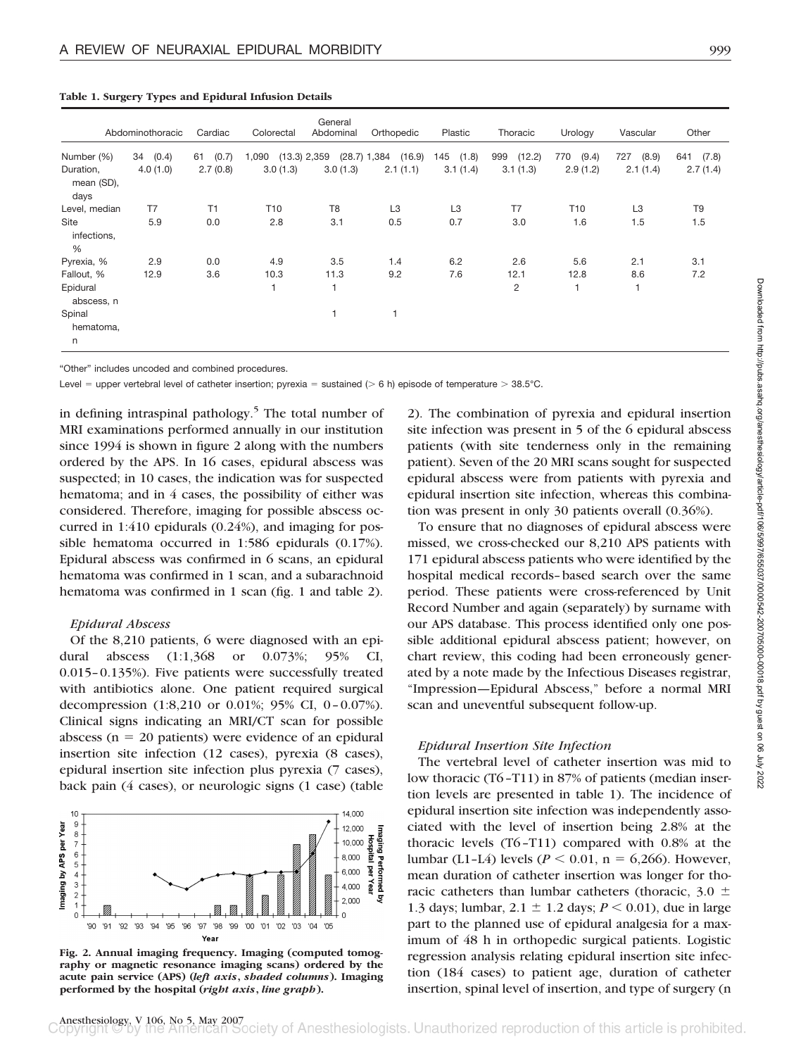|                          | Abdominothoracic | Cardiac     | Colorectal      | General<br>Abdominal | Orthopedic               | Plastic        | Thoracic       | Urology         | Vascular       | Other          |
|--------------------------|------------------|-------------|-----------------|----------------------|--------------------------|----------------|----------------|-----------------|----------------|----------------|
| Number (%)               | (0.4)<br>34      | (0.7)<br>61 | 1,090           | $(13.3)$ 2,359       | $(28.7)$ 1,384<br>(16.9) | 145<br>(1.8)   | (12.2)<br>999  | (9.4)<br>770    | (8.9)<br>727   | 641<br>(7.8)   |
| Duration,<br>mean (SD),  | 4.0(1.0)         | 2.7(0.8)    | 3.0(1.3)        | 3.0(1.3)             | 2.1(1.1)                 | 3.1(1.4)       | 3.1(1.3)       | 2.9(1.2)        | 2.1(1.4)       | 2.7(1.4)       |
| days<br>Level, median    | T7               | T1          | T <sub>10</sub> | T <sub>8</sub>       | L <sub>3</sub>           | L <sub>3</sub> | T7             | T <sub>10</sub> | L <sub>3</sub> | T <sub>9</sub> |
|                          |                  |             |                 |                      |                          |                |                |                 |                |                |
| Site<br>infections,<br>% | 5.9              | 0.0         | 2.8             | 3.1                  | 0.5                      | 0.7            | 3.0            | 1.6             | 1.5            | 1.5            |
| Pyrexia, %               | 2.9              | 0.0         | 4.9             | 3.5                  | 1.4                      | 6.2            | 2.6            | 5.6             | 2.1            | 3.1            |
| Fallout, %               | 12.9             | 3.6         | 10.3            | 11.3                 | 9.2                      | 7.6            | 12.1           | 12.8            | 8.6            | 7.2            |
| Epidural<br>abscess, n   |                  |             |                 |                      |                          |                | $\overline{c}$ |                 |                |                |
| Spinal<br>hematoma,<br>n |                  |             |                 |                      |                          |                |                |                 |                |                |

**Table 1. Surgery Types and Epidural Infusion Details**

"Other" includes uncoded and combined procedures.

Level = upper vertebral level of catheter insertion; pyrexia = sustained (> 6 h) episode of temperature > 38.5°C.

in defining intraspinal pathology.5 The total number of MRI examinations performed annually in our institution since 1994 is shown in figure 2 along with the numbers ordered by the APS. In 16 cases, epidural abscess was suspected; in 10 cases, the indication was for suspected hematoma; and in 4 cases, the possibility of either was considered. Therefore, imaging for possible abscess occurred in 1:410 epidurals (0.24%), and imaging for possible hematoma occurred in 1:586 epidurals (0.17%). Epidural abscess was confirmed in 6 scans, an epidural hematoma was confirmed in 1 scan, and a subarachnoid hematoma was confirmed in 1 scan (fig. 1 and table 2).

#### *Epidural Abscess*

Of the 8,210 patients, 6 were diagnosed with an epidural abscess (1:1,368 or 0.073%; 95% CI, 0.015–0.135%). Five patients were successfully treated with antibiotics alone. One patient required surgical decompression (1:8,210 or 0.01%; 95% CI, 0–0.07%). Clinical signs indicating an MRI/CT scan for possible abscess ( $n = 20$  patients) were evidence of an epidural insertion site infection (12 cases), pyrexia (8 cases), epidural insertion site infection plus pyrexia (7 cases), back pain (4 cases), or neurologic signs (1 case) (table



**Fig. 2. Annual imaging frequency. Imaging (computed tomography or magnetic resonance imaging scans) ordered by the acute pain service (APS) (***left axis***,** *shaded columns***). Imaging performed by the hospital (***right axis***,** *line graph***).**

2). The combination of pyrexia and epidural insertion site infection was present in 5 of the 6 epidural abscess patients (with site tenderness only in the remaining patient). Seven of the 20 MRI scans sought for suspected epidural abscess were from patients with pyrexia and epidural insertion site infection, whereas this combination was present in only 30 patients overall (0.36%).

To ensure that no diagnoses of epidural abscess were missed, we cross-checked our 8,210 APS patients with 171 epidural abscess patients who were identified by the hospital medical records–based search over the same period. These patients were cross-referenced by Unit Record Number and again (separately) by surname with our APS database. This process identified only one possible additional epidural abscess patient; however, on chart review, this coding had been erroneously generated by a note made by the Infectious Diseases registrar, "Impression—Epidural Abscess," before a normal MRI scan and uneventful subsequent follow-up.

## *Epidural Insertion Site Infection*

The vertebral level of catheter insertion was mid to low thoracic (T6–T11) in 87% of patients (median insertion levels are presented in table 1). The incidence of epidural insertion site infection was independently associated with the level of insertion being 2.8% at the thoracic levels (T6–T11) compared with 0.8% at the lumbar (L1-L4) levels ( $P < 0.01$ , n = 6,266). However, mean duration of catheter insertion was longer for thoracic catheters than lumbar catheters (thoracic,  $3.0 \pm$ 1.3 days; lumbar,  $2.1 \pm 1.2$  days;  $P < 0.01$ ), due in large part to the planned use of epidural analgesia for a maximum of 48 h in orthopedic surgical patients. Logistic regression analysis relating epidural insertion site infection (184 cases) to patient age, duration of catheter insertion, spinal level of insertion, and type of surgery (n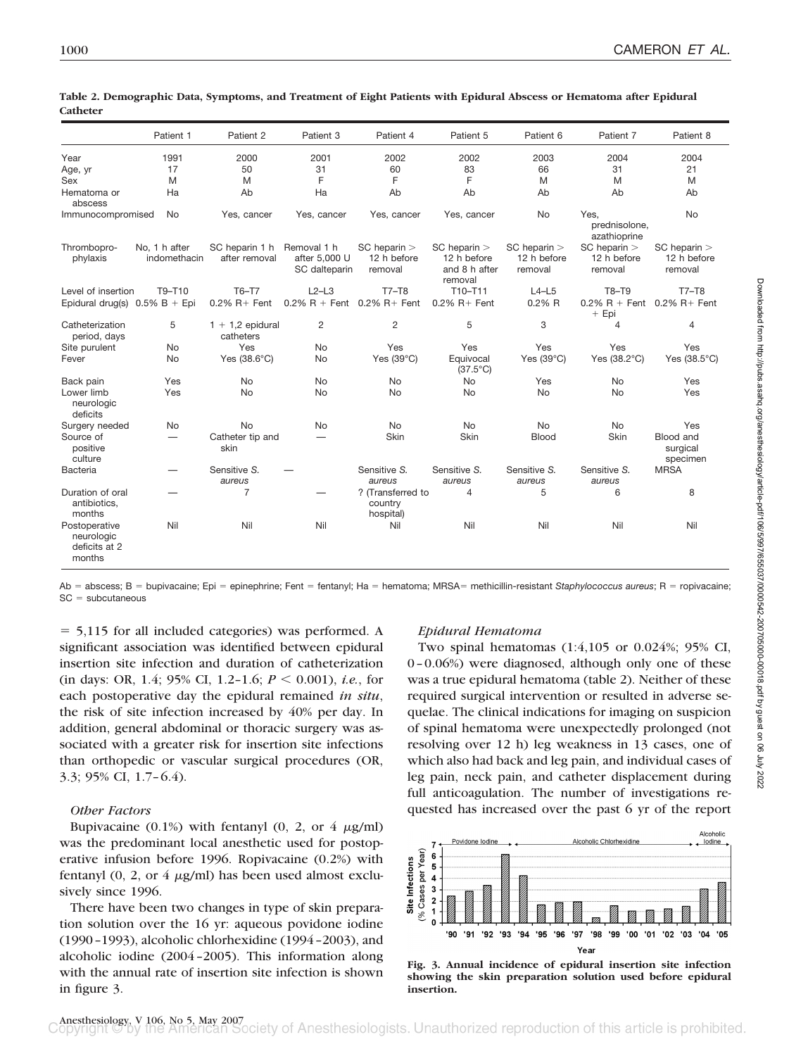|                                                        | Patient 1                     | Patient 2                       | Patient 3                                     | Patient 4                                  | Patient 5                                                   | Patient 6                              | Patient 7                                  | Patient 8                                  |
|--------------------------------------------------------|-------------------------------|---------------------------------|-----------------------------------------------|--------------------------------------------|-------------------------------------------------------------|----------------------------------------|--------------------------------------------|--------------------------------------------|
| Year                                                   | 1991                          | 2000                            | 2001                                          | 2002                                       | 2002                                                        | 2003                                   | 2004                                       | 2004                                       |
| Age, yr                                                | 17                            | 50                              | 31                                            | 60                                         | 83                                                          | 66                                     | 31                                         | 21                                         |
| Sex                                                    | M                             | M                               | F                                             | F                                          | F                                                           | M                                      | M                                          | M                                          |
| Hematoma or<br>abscess                                 | Ha                            | Ab                              | Ha                                            | Ab                                         | Ab                                                          | Ab                                     | Ab                                         | Ab                                         |
| Immunocompromised                                      | No                            | Yes, cancer                     | Yes, cancer                                   | Yes, cancer                                | Yes, cancer                                                 | <b>No</b>                              | Yes.<br>prednisolone,<br>azathioprine      | <b>No</b>                                  |
| Thrombopro-<br>phylaxis                                | No, 1 h after<br>indomethacin | SC heparin 1 h<br>after removal | Removal 1 h<br>after 5,000 U<br>SC dalteparin | $SC$ heparin $>$<br>12 h before<br>removal | $SC$ heparin $>$<br>12 h before<br>and 8 h after<br>removal | SC heparin ><br>12 h before<br>removal | $SC$ heparin $>$<br>12 h before<br>removal | $SC$ heparin $>$<br>12 h before<br>removal |
| Level of insertion                                     | T9-T10                        | T6-T7                           | $L2-L3$                                       | $T7 - T8$                                  | T10-T11                                                     | $L4-L5$                                | T8-T9                                      | $T7 - T8$                                  |
| Epidural drug(s) $0.5\%$ B + Epi                       |                               | $0.2\%$ R + Fent                | $0.2\%$ R + Fent                              | $0.2\%$ R + Fent                           | $0.2\%$ R+ Fent                                             | 0.2%R                                  | $0.2\% \text{ R} + \text{Fent}$<br>$+$ Epi | $0.2\%$ R + Fent                           |
| Catheterization<br>period, days                        | 5                             | $1 + 1.2$ epidural<br>catheters | $\overline{c}$                                | $\overline{2}$                             | 5                                                           | 3                                      | 4                                          | 4                                          |
| Site purulent                                          | No                            | Yes                             | <b>No</b>                                     | Yes                                        | Yes                                                         | Yes                                    | Yes                                        | Yes                                        |
| Fever                                                  | <b>No</b>                     | Yes $(38.6^{\circ}C)$           | <b>No</b>                                     | Yes $(39^{\circ}C)$                        | Equivocal<br>$(37.5^{\circ}C)$                              | Yes $(39^{\circ}C)$                    | Yes (38.2°C)                               | Yes $(38.5^{\circ}C)$                      |
| Back pain                                              | Yes                           | <b>No</b>                       | <b>No</b>                                     | No                                         | No                                                          | Yes                                    | <b>No</b>                                  | Yes                                        |
| Lower limb<br>neurologic<br>deficits                   | Yes                           | <b>No</b>                       | <b>No</b>                                     | <b>No</b>                                  | <b>No</b>                                                   | <b>No</b>                              | <b>No</b>                                  | Yes                                        |
| Surgery needed                                         | No                            | <b>No</b>                       | <b>No</b>                                     | <b>No</b>                                  | <b>No</b>                                                   | <b>No</b>                              | No                                         | Yes                                        |
| Source of<br>positive<br>culture                       |                               | Catheter tip and<br>skin        |                                               | Skin                                       | Skin                                                        | <b>Blood</b>                           | Skin                                       | Blood and<br>surgical<br>specimen          |
| Bacteria                                               |                               | Sensitive S.<br>aureus          |                                               | Sensitive S.<br>aureus                     | Sensitive S.<br>aureus                                      | Sensitive S.<br>aureus                 | Sensitive S.<br>aureus                     | <b>MRSA</b>                                |
| Duration of oral<br>antibiotics,<br>months             |                               | 7                               |                                               | ? (Transferred to<br>country<br>hospital)  | 4                                                           | 5                                      | 6                                          | 8                                          |
| Postoperative<br>neurologic<br>deficits at 2<br>months | Nil                           | Nil                             | Nil                                           | Nil                                        | Nil                                                         | Nil                                    | Nil                                        | Nil                                        |

| Table 2. Demographic Data, Symptoms, and Treatment of Eight Patients with Epidural Abscess or Hematoma after Epidural |  |  |  |
|-----------------------------------------------------------------------------------------------------------------------|--|--|--|
| Catheter                                                                                                              |  |  |  |

Ab = abscess; B = bupivacaine; Epi = epinephrine; Fent = fentanyl; Ha = hematoma; MRSA= methicillin-resistant Staphylococcus aureus; R = ropivacaine;  $SC = subcutaneous$ 

- 5,115 for all included categories) was performed. A significant association was identified between epidural insertion site infection and duration of catheterization (in days: OR, 1.4; 95% CI, 1.2-1.6;  $P \le 0.001$ ), *i.e.*, for each postoperative day the epidural remained *in situ*, the risk of site infection increased by 40% per day. In addition, general abdominal or thoracic surgery was associated with a greater risk for insertion site infections than orthopedic or vascular surgical procedures (OR, 3.3; 95% CI, 1.7–6.4).

## *Other Factors*

Bupivacaine (0.1%) with fentanyl (0, 2, or 4  $\mu$ g/ml) was the predominant local anesthetic used for postoperative infusion before 1996. Ropivacaine (0.2%) with fentanyl (0, 2, or  $4 \mu g/ml$ ) has been used almost exclusively since 1996.

There have been two changes in type of skin preparation solution over the 16 yr: aqueous povidone iodine (1990–1993), alcoholic chlorhexidine (1994–2003), and alcoholic iodine (2004–2005). This information along with the annual rate of insertion site infection is shown in figure 3.

# *Epidural Hematoma*

Two spinal hematomas (1:4,105 or 0.024%; 95% CI, 0–0.06%) were diagnosed, although only one of these was a true epidural hematoma (table 2). Neither of these required surgical intervention or resulted in adverse sequelae. The clinical indications for imaging on suspicion of spinal hematoma were unexpectedly prolonged (not resolving over 12 h) leg weakness in 13 cases, one of which also had back and leg pain, and individual cases of leg pain, neck pain, and catheter displacement during full anticoagulation. The number of investigations requested has increased over the past 6 yr of the report



**Fig. 3. Annual incidence of epidural insertion site infection showing the skin preparation solution used before epidural insertion.**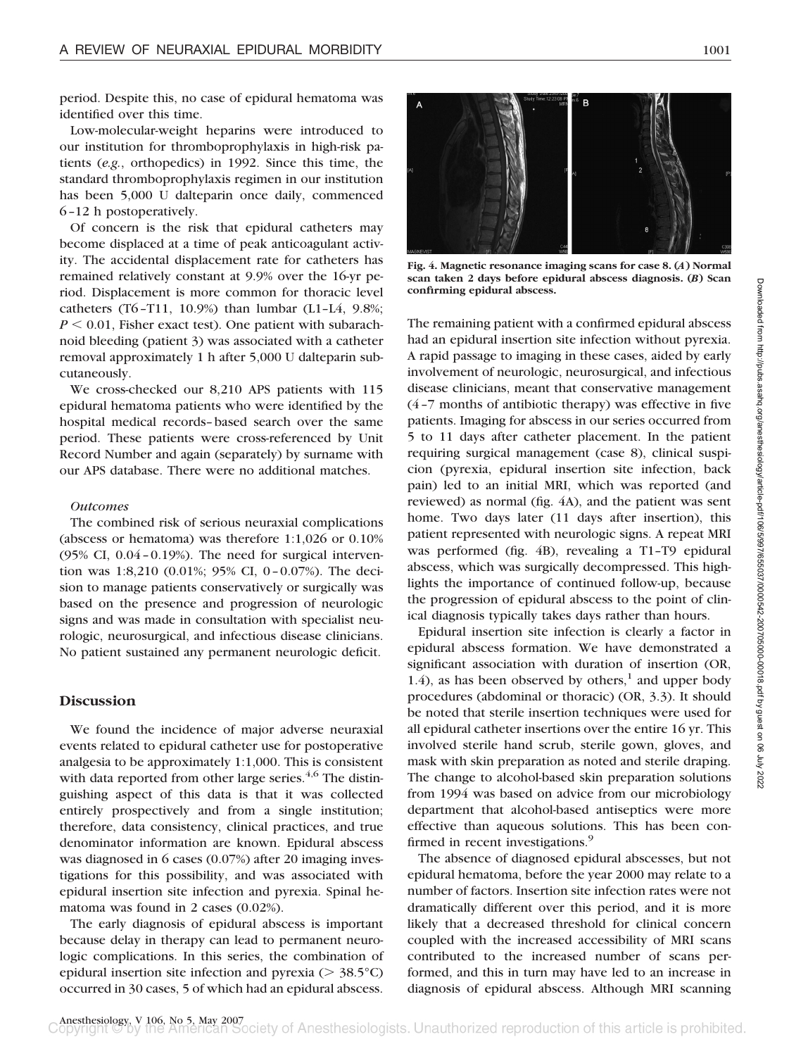period. Despite this, no case of epidural hematoma was identified over this time.

Low-molecular-weight heparins were introduced to our institution for thromboprophylaxis in high-risk patients (*e.g.*, orthopedics) in 1992. Since this time, the standard thromboprophylaxis regimen in our institution has been 5,000 U dalteparin once daily, commenced 6–12 h postoperatively.

Of concern is the risk that epidural catheters may become displaced at a time of peak anticoagulant activity. The accidental displacement rate for catheters has remained relatively constant at 9.9% over the 16-yr period. Displacement is more common for thoracic level catheters (T6–T11, 10.9%) than lumbar (L1–L4, 9.8%;  $P \le 0.01$ , Fisher exact test). One patient with subarachnoid bleeding (patient 3) was associated with a catheter removal approximately 1 h after 5,000 U dalteparin subcutaneously.

We cross-checked our 8,210 APS patients with 115 epidural hematoma patients who were identified by the hospital medical records–based search over the same period. These patients were cross-referenced by Unit Record Number and again (separately) by surname with our APS database. There were no additional matches.

## *Outcomes*

The combined risk of serious neuraxial complications (abscess or hematoma) was therefore 1:1,026 or 0.10% (95% CI, 0.04–0.19%). The need for surgical intervention was 1:8,210 (0.01%; 95% CI, 0–0.07%). The decision to manage patients conservatively or surgically was based on the presence and progression of neurologic signs and was made in consultation with specialist neurologic, neurosurgical, and infectious disease clinicians. No patient sustained any permanent neurologic deficit.

## **Discussion**

We found the incidence of major adverse neuraxial events related to epidural catheter use for postoperative analgesia to be approximately 1:1,000. This is consistent with data reported from other large series. $4,6$  The distinguishing aspect of this data is that it was collected entirely prospectively and from a single institution; therefore, data consistency, clinical practices, and true denominator information are known. Epidural abscess was diagnosed in 6 cases (0.07%) after 20 imaging investigations for this possibility, and was associated with epidural insertion site infection and pyrexia. Spinal hematoma was found in 2 cases (0.02%).

The early diagnosis of epidural abscess is important because delay in therapy can lead to permanent neurologic complications. In this series, the combination of epidural insertion site infection and pyrexia ( $> 38.5^{\circ}$ C) occurred in 30 cases, 5 of which had an epidural abscess.



**Fig. 4. Magnetic resonance imaging scans for case 8. (***A***) Normal scan taken 2 days before epidural abscess diagnosis. (***B***) Scan confirming epidural abscess.**

The remaining patient with a confirmed epidural abscess had an epidural insertion site infection without pyrexia. A rapid passage to imaging in these cases, aided by early involvement of neurologic, neurosurgical, and infectious disease clinicians, meant that conservative management (4–7 months of antibiotic therapy) was effective in five patients. Imaging for abscess in our series occurred from 5 to 11 days after catheter placement. In the patient requiring surgical management (case 8), clinical suspicion (pyrexia, epidural insertion site infection, back pain) led to an initial MRI, which was reported (and reviewed) as normal (fig. 4A), and the patient was sent home. Two days later (11 days after insertion), this patient represented with neurologic signs. A repeat MRI was performed (fig. 4B), revealing a T1–T9 epidural abscess, which was surgically decompressed. This highlights the importance of continued follow-up, because the progression of epidural abscess to the point of clinical diagnosis typically takes days rather than hours.

Epidural insertion site infection is clearly a factor in epidural abscess formation. We have demonstrated a significant association with duration of insertion (OR, 1.4), as has been observed by others, $<sup>1</sup>$  and upper body</sup> procedures (abdominal or thoracic) (OR, 3.3). It should be noted that sterile insertion techniques were used for all epidural catheter insertions over the entire 16 yr. This involved sterile hand scrub, sterile gown, gloves, and mask with skin preparation as noted and sterile draping. The change to alcohol-based skin preparation solutions from 1994 was based on advice from our microbiology department that alcohol-based antiseptics were more effective than aqueous solutions. This has been confirmed in recent investigations.<sup>9</sup>

The absence of diagnosed epidural abscesses, but not epidural hematoma, before the year 2000 may relate to a number of factors. Insertion site infection rates were not dramatically different over this period, and it is more likely that a decreased threshold for clinical concern coupled with the increased accessibility of MRI scans contributed to the increased number of scans performed, and this in turn may have led to an increase in diagnosis of epidural abscess. Although MRI scanning